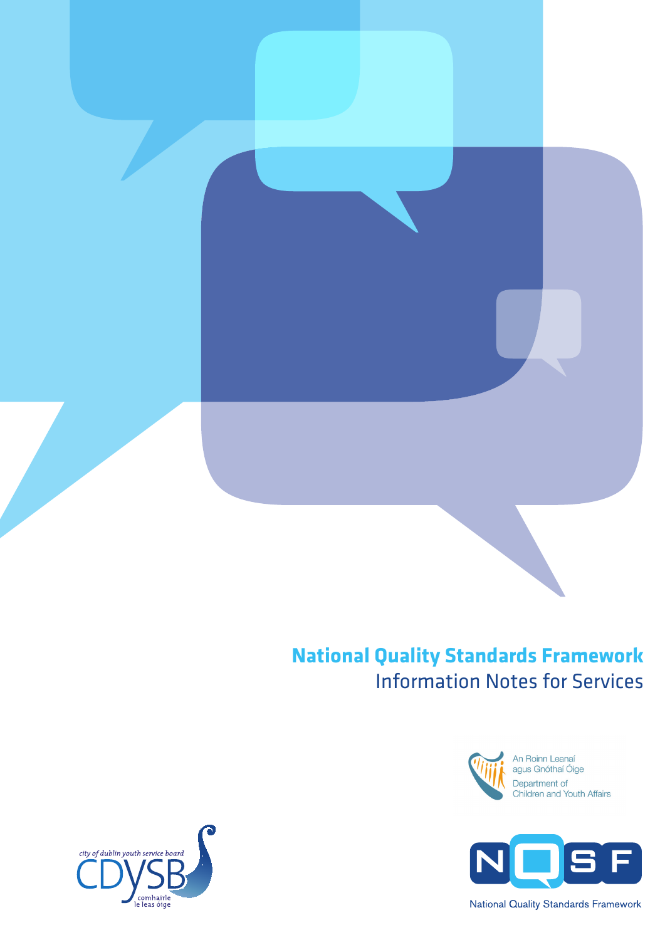### **National Quality Standards Framework** Information Notes for Services



An Roinn Leanaí agus Gnóthaí Óige Department of<br>Children and Youth Affairs



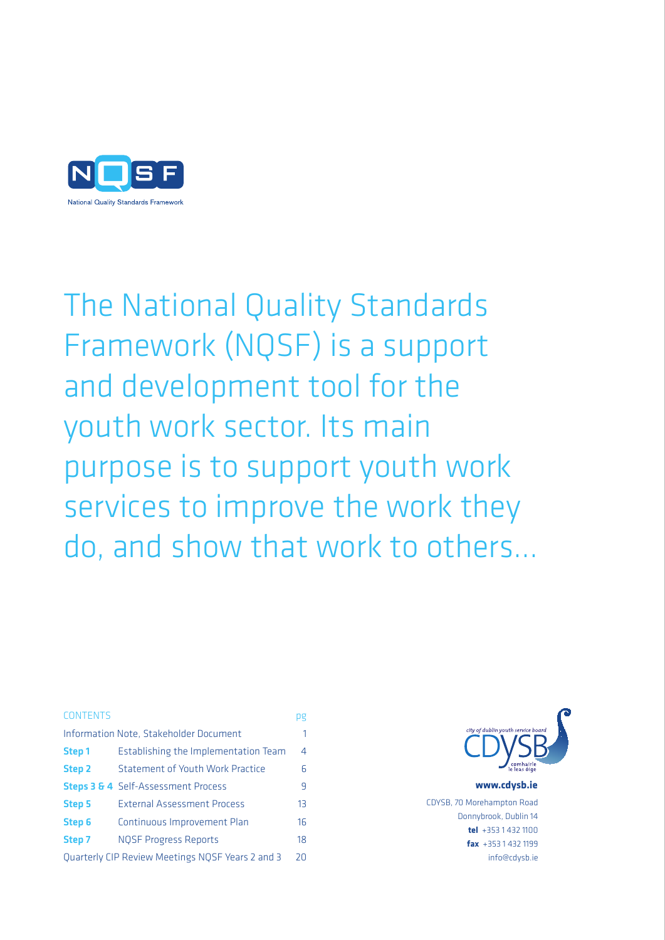

The National Quality Standards Framework (NQSF) is a support and development tool for the youth work sector. Its main purpose is to support youth work services to improve the work they do, and show that work to others...

### Contents pg

| Information Note, Stakeholder Document<br>1                   |                                                |                |  |  |
|---------------------------------------------------------------|------------------------------------------------|----------------|--|--|
| Step 1                                                        | Establishing the Implementation Team           | 4              |  |  |
| Step <sub>2</sub>                                             | <b>Statement of Youth Work Practice</b>        | 6              |  |  |
|                                                               | <b>Steps 3 &amp; 4</b> Self-Assessment Process | 9              |  |  |
| <b>Step 5</b>                                                 | <b>External Assessment Process</b>             | 1 <sub>3</sub> |  |  |
| Step 6                                                        | Continuous Improvement Plan                    | 16             |  |  |
| Step 7                                                        | <b>NOSF Progress Reports</b>                   | 18             |  |  |
| <b>Quarterly CIP Review Meetings NOSF Years 2 and 3</b><br>20 |                                                |                |  |  |



www.cdysb.ie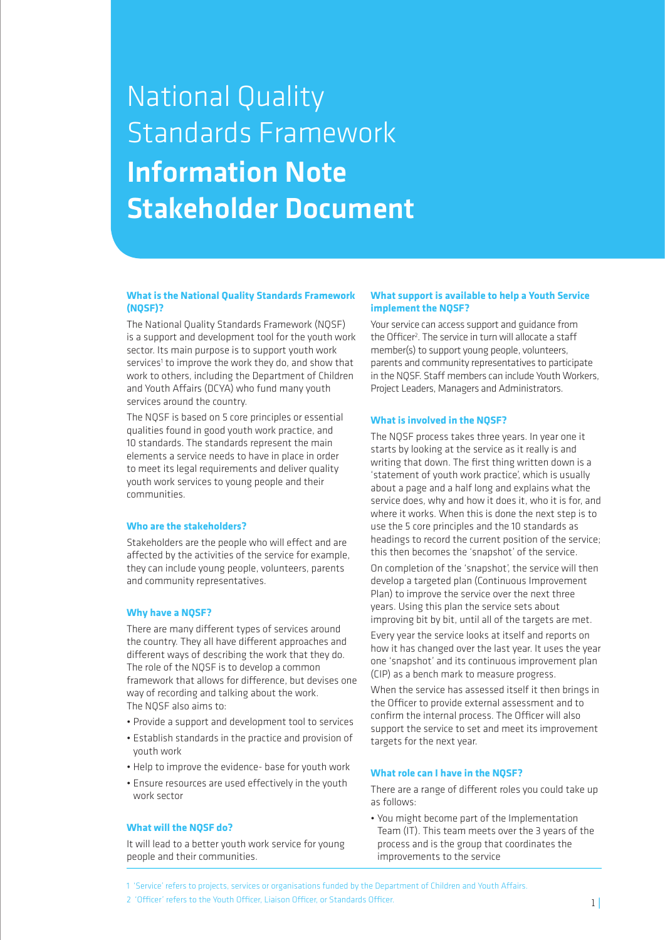### National Quality Standards Framework Information Note Stakeholder Document

### **What is the National Quality Standards Framework (NQSF)?**

The National Quality Standards Framework (NQSF) is a support and development tool for the youth work sector. Its main purpose is to support youth work services<sup>1</sup> to improve the work they do, and show that work to others, including the Department of Children and Youth Affairs (DCYA) who fund many youth services around the country.

The NQSF is based on 5 core principles or essential qualities found in good youth work practice, and 10 standards. The standards represent the main elements a service needs to have in place in order to meet its legal requirements and deliver quality youth work services to young people and their communities.

### **Who are the stakeholders?**

Stakeholders are the people who will effect and are affected by the activities of the service for example, they can include young people, volunteers, parents and community representatives.

### **Why have a NQSF?**

There are many different types of services around the country. They all have different approaches and different ways of describing the work that they do. The role of the NQSF is to develop a common framework that allows for difference, but devises one way of recording and talking about the work. The NQSF also aims to:

- Provide a support and development tool to services
- • Establish standards in the practice and provision of youth work
- Help to improve the evidence- base for youth work
- Ensure resources are used effectively in the youth work sector

### **What will the NQSF do?**

It will lead to a better youth work service for young people and their communities.

### **What support is available to help a Youth Service implement the NQSF?**

Your service can access support and guidance from the Officer<sup>2</sup>. The service in turn will allocate a staff member(s) to support young people, volunteers, parents and community representatives to participate in the NQSF. Staff members can include Youth Workers, Project Leaders, Managers and Administrators.

### **What is involved in the NQSF?**

The NQSF process takes three years. In year one it starts by looking at the service as it really is and writing that down. The first thing written down is a 'statement of youth work practice', which is usually about a page and a half long and explains what the service does, why and how it does it, who it is for, and where it works. When this is done the next step is to use the 5 core principles and the 10 standards as headings to record the current position of the service; this then becomes the 'snapshot' of the service.

On completion of the 'snapshot', the service will then develop a targeted plan (Continuous Improvement Plan) to improve the service over the next three years. Using this plan the service sets about improving bit by bit, until all of the targets are met.

Every year the service looks at itself and reports on how it has changed over the last year. It uses the year one 'snapshot' and its continuous improvement plan (CIP) as a bench mark to measure progress.

When the service has assessed itself it then brings in the Officer to provide external assessment and to confirm the internal process. The Officer will also support the service to set and meet its improvement targets for the next year.

### **What role can I have in the NQSF?**

There are a range of different roles you could take up as follows:

- You might become part of the Implementation Team (IT). This team meets over the 3 years of the process and is the group that coordinates the improvements to the service
- 1 'Service' refers to projects, services or organisations funded by the Department of Children and Youth Affairs.
- 2 'Officer' refers to the Youth Officer, Liaison Officer, or Standards Officer.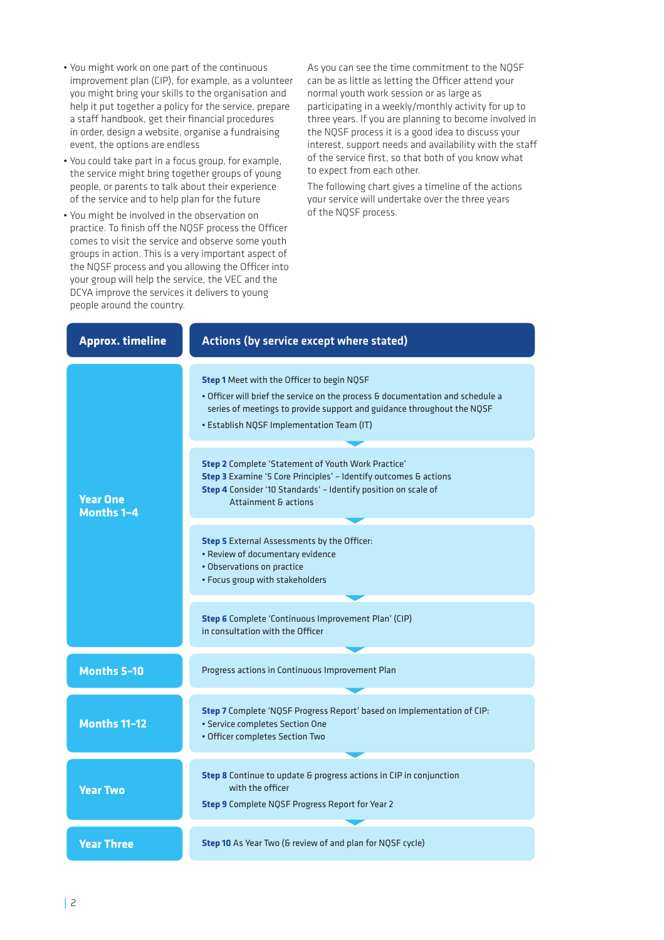- • You might work on one part of the continuous improvement plan (CIP), for example, as a volunteer you might bring your skills to the organisation and help it put together a policy for the service, prepare a staff handbook, get their financial procedures in order, design a website, organise a fundraising event, the options are endless
- • You could take part in a focus group, for example, the service might bring together groups of young people, or parents to talk about their experience of the service and to help plan for the future
- • You might be involved in the observation on practice. To finish off the NQSF process the Officer comes to visit the service and observe some youth groups in action. This is a very important aspect of the NQSF process and you allowing the Officer into your group will help the service, the VEC and the DCYA improve the services it delivers to young people around the country.

As you can see the time commitment to the NQSF can be as little as letting the Officer attend your normal youth work session or as large as participating in a weekly/monthly activity for up to three years. If you are planning to become involved in the NQSF process it is a good idea to discuss your interest, support needs and availability with the staff of the service first, so that both of you know what to expect from each other.

The following chart gives a timeline of the actions your service will undertake over the three years of the NQSF process.

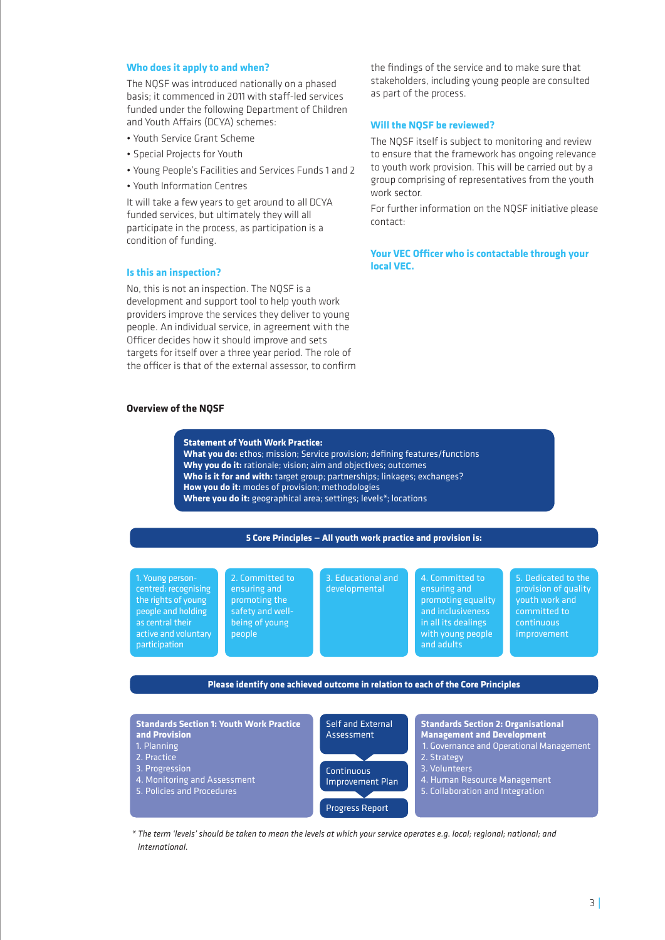### **Who does it apply to and when?**

The NQSF was introduced nationally on a phased basis; it commenced in 2011 with staff-led services funded under the following Department of Children and Youth Affairs (DCYA) schemes:

- • Youth Service Grant Scheme
- • Special Projects for Youth
- • Young People's Facilities and Services Funds 1 and 2
- • Youth Information Centres

It will take a few years to get around to all DCYA funded services, but ultimately they will all participate in the process, as participation is a condition of funding.

### **Is this an inspection?**

No, this is not an inspection. The NQSF is a development and support tool to help youth work providers improve the services they deliver to young people. An individual service, in agreement with the Officer decides how it should improve and sets targets for itself over a three year period. The role of the officer is that of the external assessor, to confirm

### **Overview of the NQSF**

the findings of the service and to make sure that stakeholders, including young people are consulted as part of the process.

### **Will the NQSF be reviewed?**

The NQSF itself is subject to monitoring and review to ensure that the framework has ongoing relevance to youth work provision. This will be carried out by a group comprising of representatives from the youth work sector.

For further information on the NQSF initiative please contact:

**Your VEC Officer who is contactable through your local VEC.**

### **Statement of Youth Work Practice:**

**What you do:** ethos; mission; Service provision; defining features/functions **Why you do it:** rationale; vision; aim and objectives; outcomes **Who is it for and with:** target group; partnerships; linkages; exchanges? **How you do it:** modes of provision; methodologies **Where you do it:** geographical area; settings; levels\*; locations

### **5 Core Principles — All youth work practice and provision is:**

1. Young personcentred: recognising the rights of young people and holding as central their active and voluntary participation

2. Committed to ensuring and promoting the safety and wellbeing of young people

3. Educational and developmental

4. Committed to ensuring and promoting equality and inclusiveness in all its dealings with young people and adults

5. Dedicated to the provision of quality youth work and committed to continuous improvement

### **Please identify one achieved outcome in relation to each of the Core Principles**



*\* The term 'levels' should be taken to mean the levels at which your service operates e.g. local; regional; national; and international.*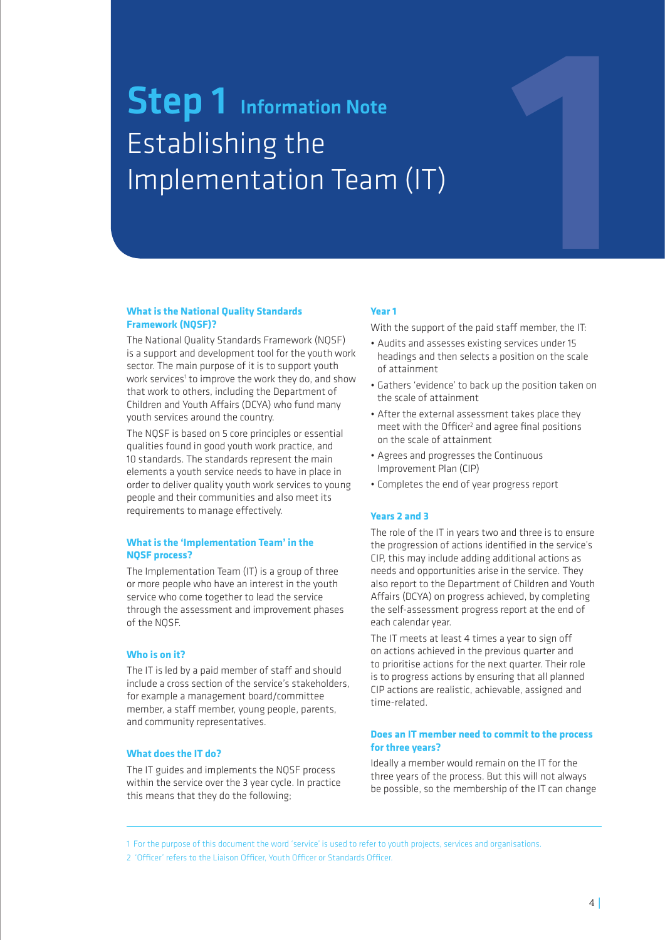## **Step 1** Information Note Establishing the Implementation Team (IT)

### **What is the National Quality Standards Framework (NQSF)?**

The National Quality Standards Framework (NQSF) is a support and development tool for the youth work sector. The main purpose of it is to support youth work services<sup>1</sup> to improve the work they do, and show that work to others, including the Department of Children and Youth Affairs (DCYA) who fund many youth services around the country.

The NQSF is based on 5 core principles or essential qualities found in good youth work practice, and 10 standards. The standards represent the main elements a youth service needs to have in place in order to deliver quality youth work services to young people and their communities and also meet its requirements to manage effectively.

### **What is the 'Implementation Team' in the NQSF process?**

The Implementation Team (IT) is a group of three or more people who have an interest in the youth service who come together to lead the service through the assessment and improvement phases of the NQSF.

### **Who is on it?**

The IT is led by a paid member of staff and should include a cross section of the service's stakeholders, for example a management board/committee member, a staff member, young people, parents, and community representatives.

### **What does the IT do?**

The IT guides and implements the NQSF process within the service over the 3 year cycle. In practice this means that they do the following;

### **Year 1**

With the support of the paid staff member, the IT:

1

- Audits and assesses existing services under 15 headings and then selects a position on the scale of attainment
- Gathers 'evidence' to back up the position taken on the scale of attainment
- After the external assessment takes place they meet with the Officer<sup>2</sup> and agree final positions on the scale of attainment
- Agrees and progresses the Continuous Improvement Plan (CIP)
- • Completes the end of year progress report

### **Years 2 and 3**

The role of the IT in years two and three is to ensure the progression of actions identified in the service's CIP, this may include adding additional actions as needs and opportunities arise in the service. They also report to the Department of Children and Youth Affairs (DCYA) on progress achieved, by completing the self-assessment progress report at the end of each calendar year.

The IT meets at least 4 times a year to sign off on actions achieved in the previous quarter and to prioritise actions for the next quarter. Their role is to progress actions by ensuring that all planned CIP actions are realistic, achievable, assigned and time-related.

### **Does an IT member need to commit to the process for three years?**

Ideally a member would remain on the IT for the three years of the process. But this will not always be possible, so the membership of the IT can change

1 For the purpose of this document the word 'service' is used to refer to youth projects, services and organisations.

2 'Officer' refers to the Liaison Officer, Youth Officer or Standards Officer.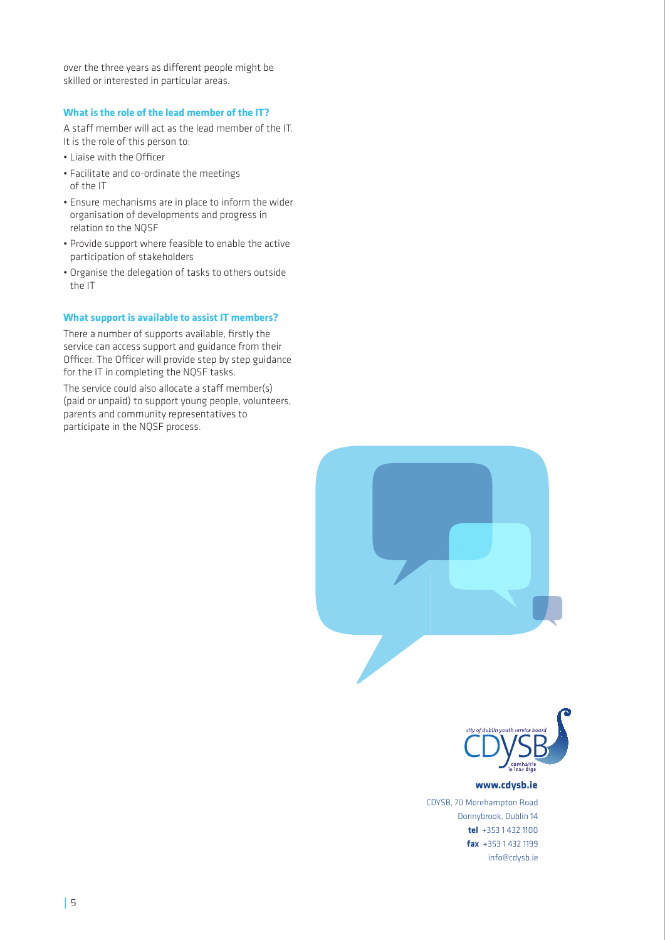over the three years as different people might be skilled or interested in particular areas.

### **What is the role of the lead member of the IT?**

A staff member will act as the lead member of the IT. It is the role of this person to:

- • Liaise with the Officer
- • Facilitate and co-ordinate the meetings of the IT
- Ensure mechanisms are in place to inform the wider organisation of developments and progress in relation to the NQSF
- Provide support where feasible to enable the active participation of stakeholders
- Organise the delegation of tasks to others outside the IT

### **What support is available to assist IT members?**

There a number of supports available, firstly the service can access support and guidance from their Officer. The Officer will provide step by step guidance for the IT in completing the NQSF tasks.

The service could also allocate a staff member(s) (paid or unpaid) to support young people, volunteers, parents and community representatives to participate in the NQSF process.





### www.cdysb.ie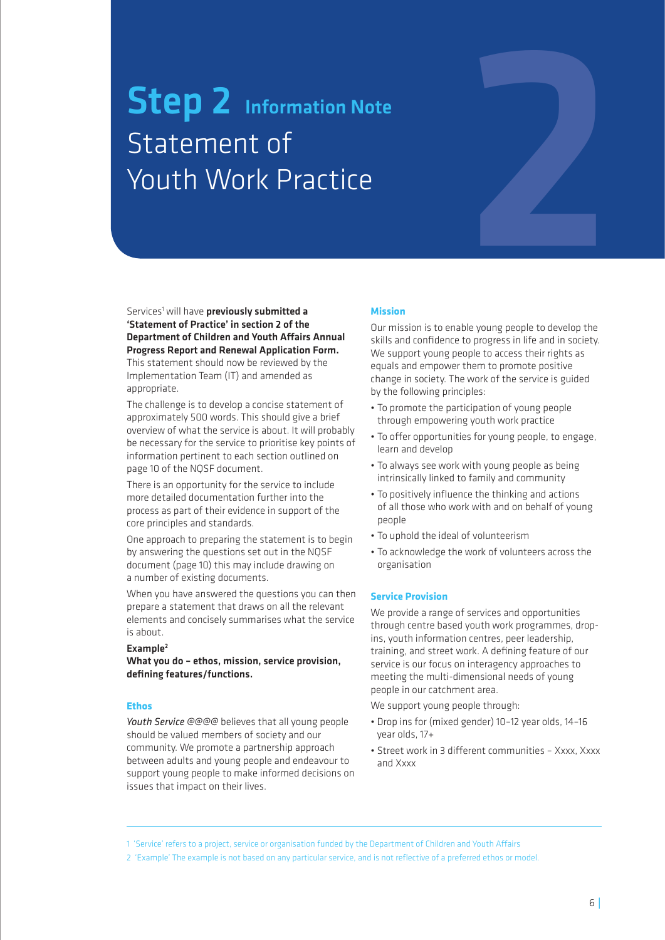# **Step 2** Information Note Statement of Youth Work Practice

### Services<sup>1</sup> will have **previously submitted a** 'Statement of Practice' in section 2 of the Department of Children and Youth Affairs Annual Progress Report and Renewal Application Form.

This statement should now be reviewed by the Implementation Team (IT) and amended as appropriate.

The challenge is to develop a concise statement of approximately 500 words. This should give a brief overview of what the service is about. It will probably be necessary for the service to prioritise key points of information pertinent to each section outlined on page 10 of the NQSF document.

There is an opportunity for the service to include more detailed documentation further into the process as part of their evidence in support of the core principles and standards.

One approach to preparing the statement is to begin by answering the questions set out in the NQSF document (page 10) this may include drawing on a number of existing documents.

When you have answered the questions you can then prepare a statement that draws on all the relevant elements and concisely summarises what the service is about.

### Example2

What you do – ethos, mission, service provision, defining features/functions.

### **Ethos**

*Youth Service @@@@* believes that all young people should be valued members of society and our community. We promote a partnership approach between adults and young people and endeavour to support young people to make informed decisions on issues that impact on their lives.

### **Mission**

Our mission is to enable young people to develop the skills and confidence to progress in life and in society. We support young people to access their rights as equals and empower them to promote positive change in society. The work of the service is guided by the following principles:

2

- To promote the participation of young people through empowering youth work practice
- To offer opportunities for young people, to engage, learn and develop
- To always see work with young people as being intrinsically linked to family and community
- To positively influence the thinking and actions of all those who work with and on behalf of young people
- To uphold the ideal of volunteerism
- To acknowledge the work of volunteers across the organisation

### **Service Provision**

We provide a range of services and opportunities through centre based youth work programmes, dropins, youth information centres, peer leadership, training, and street work. A defining feature of our service is our focus on interagency approaches to meeting the multi-dimensional needs of young people in our catchment area.

We support young people through:

- Drop ins for (mixed gender) 10–12 year olds, 14–16 year olds, 17+
- Street work in 3 different communities Xxxx, Xxxx and Xxxx

1 'Service' refers to a project, service or organisation funded by the Department of Children and Youth Affairs

2 'Example' The example is not based on any particular service, and is not reflective of a preferred ethos or model.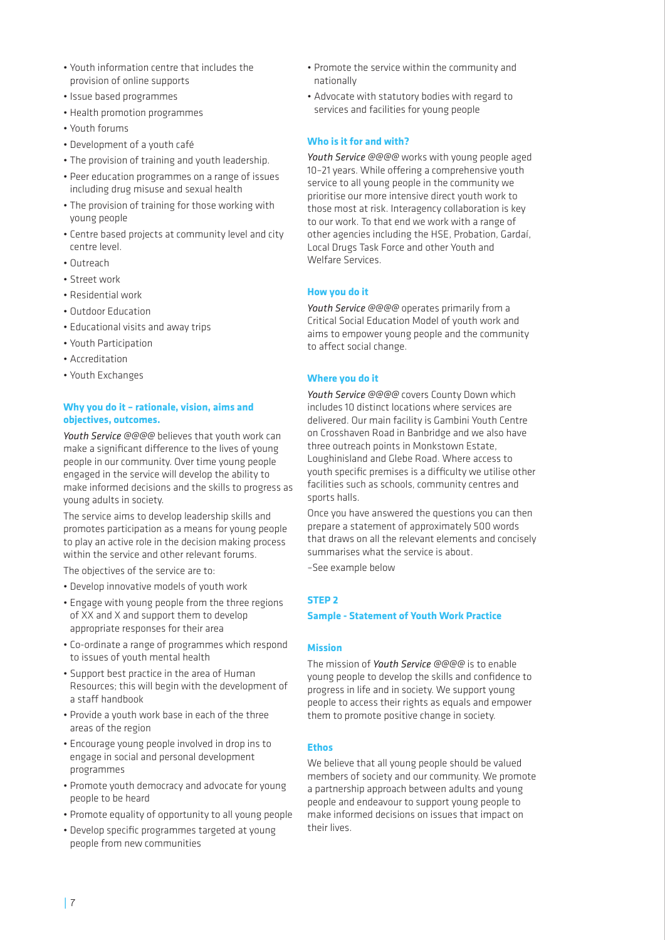- • Youth information centre that includes the provision of online supports
- • Issue based programmes
- Health promotion programmes
- • Youth forums
- • Development of a youth café
- The provision of training and youth leadership.
- • Peer education programmes on a range of issues including drug misuse and sexual health
- The provision of training for those working with young people
- • Centre based projects at community level and city centre level.
- • Outreach
- • Street work
- • Residential work
- • Outdoor Education
- Educational visits and away trips
- • Youth Participation
- • Accreditation
- • Youth Exchanges

### **Why you do it – rationale, vision, aims and objectives, outcomes.**

*Youth Service @@@@* believes that youth work can make a significant difference to the lives of young people in our community. Over time young people engaged in the service will develop the ability to make informed decisions and the skills to progress as young adults in society.

The service aims to develop leadership skills and promotes participation as a means for young people to play an active role in the decision making process within the service and other relevant forums.

The objectives of the service are to:

- • Develop innovative models of youth work
- Engage with young people from the three regions of XX and X and support them to develop appropriate responses for their area
- • Co-ordinate a range of programmes which respond to issues of youth mental health
- • Support best practice in the area of Human Resources; this will begin with the development of a staff handbook
- Provide a youth work base in each of the three areas of the region
- • Encourage young people involved in drop ins to engage in social and personal development programmes
- Promote youth democracy and advocate for young people to be heard
- • Promote equality of opportunity to all young people
- • Develop specific programmes targeted at young people from new communities
- • Promote the service within the community and nationally
- • Advocate with statutory bodies with regard to services and facilities for young people

### **Who is it for and with?**

*Youth Service @@@@* works with young people aged 10–21 years. While offering a comprehensive youth service to all young people in the community we prioritise our more intensive direct youth work to those most at risk. Interagency collaboration is key to our work. To that end we work with a range of other agencies including the HSE, Probation, GardaÍ, Local Drugs Task Force and other Youth and Welfare Services.

### **How you do it**

*Youth Service @@@@* operates primarily from a Critical Social Education Model of youth work and aims to empower young people and the community to affect social change.

### **Where you do it**

*Youth Service @@@@* covers County Down which includes 10 distinct locations where services are delivered. Our main facility is Gambini Youth Centre on Crosshaven Road in Banbridge and we also have three outreach points in Monkstown Estate, Loughinisland and Glebe Road. Where access to youth specific premises is a difficulty we utilise other facilities such as schools, community centres and sports halls.

Once you have answered the questions you can then prepare a statement of approximately 500 words that draws on all the relevant elements and concisely summarises what the service is about.

–See example below

### **STEP 2**

### **Sample - Statement of Youth Work Practice**

### **Mission**

The mission of *Youth Service @@@@* is to enable young people to develop the skills and confidence to progress in life and in society. We support young people to access their rights as equals and empower them to promote positive change in society.

### **Ethos**

We believe that all young people should be valued members of society and our community. We promote a partnership approach between adults and young people and endeavour to support young people to make informed decisions on issues that impact on their lives.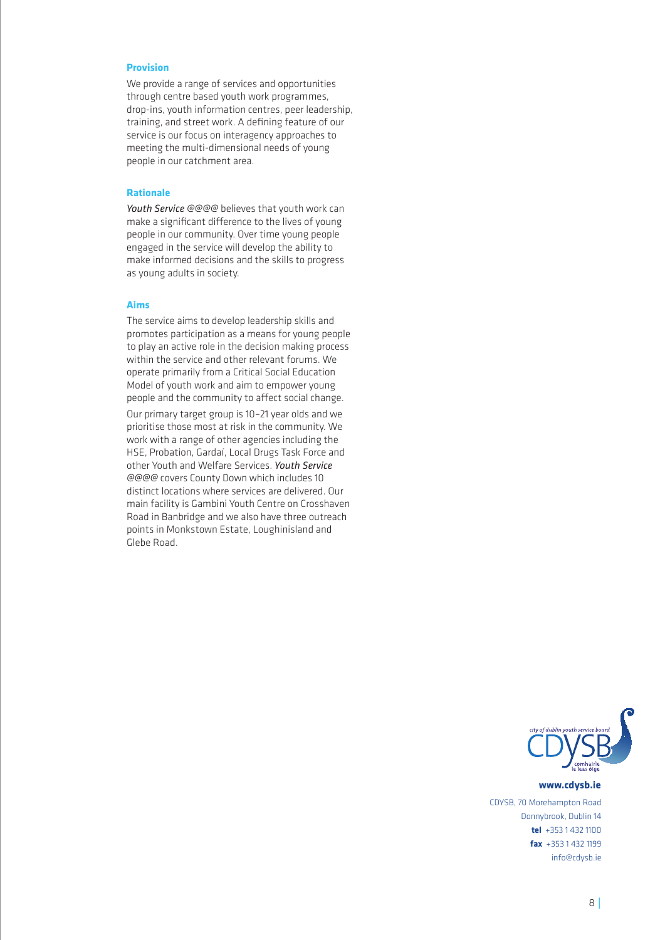### **Provision**

We provide a range of services and opportunities through centre based youth work programmes, drop-ins, youth information centres, peer leadership, training, and street work. A defining feature of our service is our focus on interagency approaches to meeting the multi-dimensional needs of young people in our catchment area.

### **Rationale**

*Youth Service @@@@* believes that youth work can make a significant difference to the lives of young people in our community. Over time young people engaged in the service will develop the ability to make informed decisions and the skills to progress as young adults in society.

### **Aims**

The service aims to develop leadership skills and promotes participation as a means for young people to play an active role in the decision making process within the service and other relevant forums. We operate primarily from a Critical Social Education Model of youth work and aim to empower young people and the community to affect social change.

Our primary target group is 10–21 year olds and we prioritise those most at risk in the community. We work with a range of other agencies including the HSE, Probation, Gardaí, Local Drugs Task Force and other Youth and Welfare Services. *Youth Service @@@@* covers County Down which includes 10 distinct locations where services are delivered. Our main facility is Gambini Youth Centre on Crosshaven Road in Banbridge and we also have three outreach points in Monkstown Estate, Loughinisland and Glebe Road.



#### www.cdysb.ie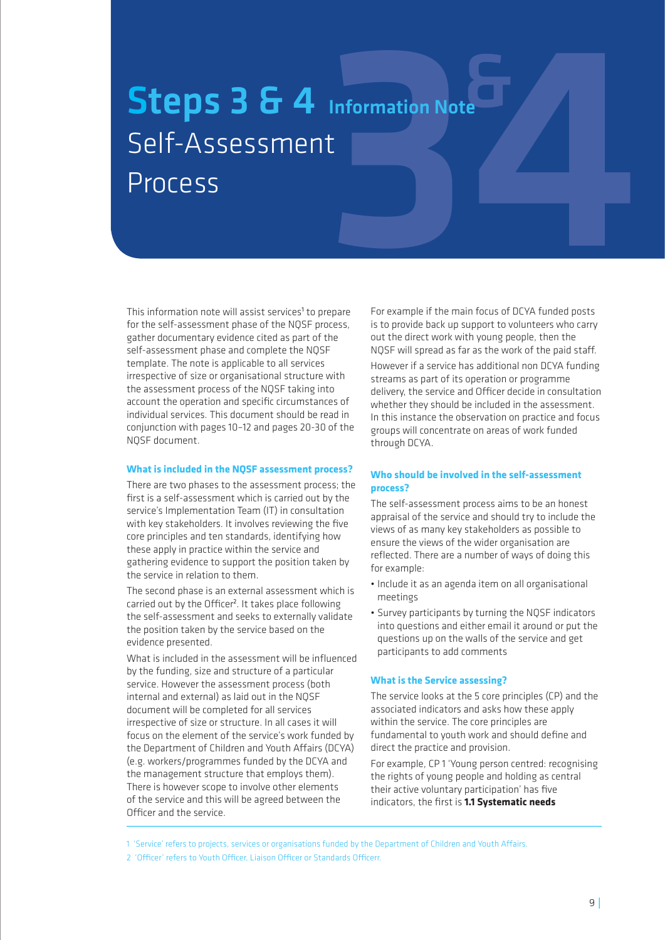# Information Note Steps 3 & 4 Information Note Self-Assessment Process

This information note will assist services<sup>1</sup> to prepare for the self-assessment phase of the NQSF process, gather documentary evidence cited as part of the self-assessment phase and complete the NQSF template. The note is applicable to all services irrespective of size or organisational structure with the assessment process of the NQSF taking into account the operation and specific circumstances of individual services. This document should be read in conjunction with pages 10–12 and pages 20-30 of the NQSF document.

### **What is included in the NQSF assessment process?**

There are two phases to the assessment process; the first is a self-assessment which is carried out by the service's Implementation Team (IT) in consultation with key stakeholders. It involves reviewing the five core principles and ten standards, identifying how these apply in practice within the service and gathering evidence to support the position taken by the service in relation to them.

The second phase is an external assessment which is carried out by the Officer<sup>2</sup>. It takes place following the self-assessment and seeks to externally validate the position taken by the service based on the evidence presented.

What is included in the assessment will be influenced by the funding, size and structure of a particular service. However the assessment process (both internal and external) as laid out in the NQSF document will be completed for all services irrespective of size or structure. In all cases it will focus on the element of the service's work funded by the Department of Children and Youth Affairs (DCYA) (e.g. workers/programmes funded by the DCYA and the management structure that employs them). There is however scope to involve other elements of the service and this will be agreed between the Officer and the service.

For example if the main focus of DCYA funded posts is to provide back up support to volunteers who carry out the direct work with young people, then the NQSF will spread as far as the work of the paid staff.

However if a service has additional non DCYA funding streams as part of its operation or programme delivery, the service and Officer decide in consultation whether they should be included in the assessment. In this instance the observation on practice and focus groups will concentrate on areas of work funded through DCYA.

### **Who should be involved in the self-assessment process?**

The self-assessment process aims to be an honest appraisal of the service and should try to include the views of as many key stakeholders as possible to ensure the views of the wider organisation are reflected. There are a number of ways of doing this for example:

- Include it as an agenda item on all organisational meetings
- • Survey participants by turning the NQSF indicators into questions and either email it around or put the questions up on the walls of the service and get participants to add comments

### **What is the Service assessing?**

The service looks at the 5 core principles (CP) and the associated indicators and asks how these apply within the service. The core principles are fundamental to youth work and should define and direct the practice and provision.

For example, CP 1 'Young person centred: recognising the rights of young people and holding as central their active voluntary participation' has five indicators, the first is **1.1 Systematic needs** 

1 'Service' refers to projects, services or organisations funded by the Department of Children and Youth Affairs.

2 'Officer' refers to Youth Officer, Liaison Officer or Standards Officerr.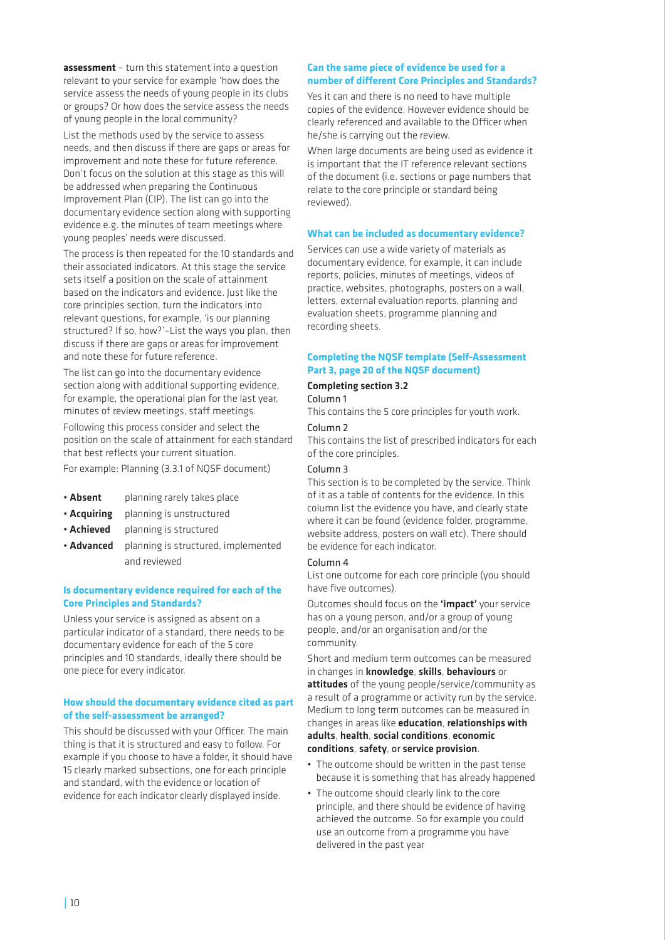**assessment** – turn this statement into a question relevant to your service for example 'how does the service assess the needs of young people in its clubs or groups? Or how does the service assess the needs of young people in the local community?

List the methods used by the service to assess needs, and then discuss if there are gaps or areas for improvement and note these for future reference. Don't focus on the solution at this stage as this will be addressed when preparing the Continuous Improvement Plan (CIP). The list can go into the documentary evidence section along with supporting evidence e.g. the minutes of team meetings where young peoples' needs were discussed.

The process is then repeated for the 10 standards and their associated indicators. At this stage the service sets itself a position on the scale of attainment based on the indicators and evidence. Just like the core principles section, turn the indicators into relevant questions, for example, 'is our planning structured? If so, how?'–List the ways you plan, then discuss if there are gaps or areas for improvement and note these for future reference.

The list can go into the documentary evidence section along with additional supporting evidence, for example, the operational plan for the last year, minutes of review meetings, staff meetings.

Following this process consider and select the position on the scale of attainment for each standard that best reflects your current situation.

For example: Planning (3.3.1 of NQSF document)

- **Absent** planning rarely takes place
- Acquiring planning is unstructured
- **Achieved** planning is structured
- Advanced planning is structured, implemented and reviewed

### **Is documentary evidence required for each of the Core Principles and Standards?**

Unless your service is assigned as absent on a particular indicator of a standard, there needs to be documentary evidence for each of the 5 core principles and 10 standards, ideally there should be one piece for every indicator.

### **How should the documentary evidence cited as part of the self-assessment be arranged?**

This should be discussed with your Officer. The main thing is that it is structured and easy to follow. For example if you choose to have a folder, it should have 15 clearly marked subsections, one for each principle and standard, with the evidence or location of evidence for each indicator clearly displayed inside.

### **Can the same piece of evidence be used for a number of different Core Principles and Standards?**

Yes it can and there is no need to have multiple copies of the evidence. However evidence should be clearly referenced and available to the Officer when he/she is carrying out the review.

When large documents are being used as evidence it is important that the IT reference relevant sections of the document (i.e. sections or page numbers that relate to the core principle or standard being reviewed).

### **What can be included as documentary evidence?**

Services can use a wide variety of materials as documentary evidence, for example, it can include reports, policies, minutes of meetings, videos of practice, websites, photographs, posters on a wall, letters, external evaluation reports, planning and evaluation sheets, programme planning and recording sheets.

### **Completing the NQSF template (Self-Assessment Part 3, page 20 of the NQSF document)**

### Completing section 3.2 Column 1

This contains the 5 core principles for youth work.

### Column 2

This contains the list of prescribed indicators for each of the core principles.

### Column 3

This section is to be completed by the service. Think of it as a table of contents for the evidence. In this column list the evidence you have, and clearly state where it can be found (evidence folder, programme, website address, posters on wall etc). There should be evidence for each indicator.

### Column 4

List one outcome for each core principle (you should have five outcomes).

Outcomes should focus on the 'impact' your service has on a young person, and/or a group of young people, and/or an organisation and/or the community.

Short and medium term outcomes can be measured in changes in knowledge, skills, behaviours or attitudes of the young people/service/community as a result of a programme or activity run by the service. Medium to long term outcomes can be measured in changes in areas like education, relationships with adults, health, social conditions, economic conditions, safety, or service provision.

- The outcome should be written in the past tense because it is something that has already happened
- The outcome should clearly link to the core principle, and there should be evidence of having achieved the outcome. So for example you could use an outcome from a programme you have delivered in the past year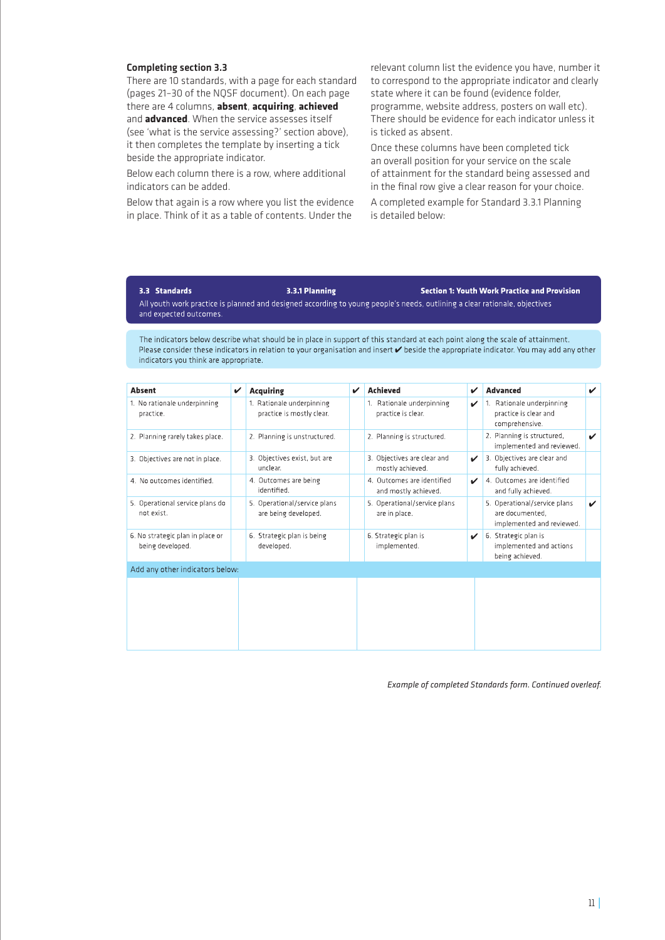### Completing section 3.3

There are 10 standards, with a page for each standard (pages 21–30 of the NQSF document). On each page there are 4 columns, **absent**, **acquiring**, **achieved** and **advanced**. When the service assesses itself (see 'what is the service assessing?' section above), it then completes the template by inserting a tick beside the appropriate indicator.

Below each column there is a row, where additional indicators can be added.

Below that again is a row where you list the evidence in place. Think of it as a table of contents. Under the

relevant column list the evidence you have, number it to correspond to the appropriate indicator and clearly state where it can be found (evidence folder, programme, website address, posters on wall etc). There should be evidence for each indicator unless it is ticked as absent.

Once these columns have been completed tick an overall position for your service on the scale of attainment for the standard being assessed and in the final row give a clear reason for your choice.

A completed example for Standard 3.3.1 Planning is detailed below:

### 3.3 Standards

**Section 1: Youth Work Practice and Provision** 

All youth work practice is planned and designed according to young people's needs, outlining a clear rationale, objectives and expected outcomes.

3.3.1 Planning

The indicators below describe what should be in place in support of this standard at each point along the scale of attainment. Please consider these indicators in relation to your organisation and insert  $\checkmark$  beside the appropriate indicator. You may add any other indicators you think are appropriate.

| <b>Absent</b>                                        | ✓ | <b>Acquiring</b>                                       | ✓ | <b>Achieved</b>                                    | V            | <b>Advanced</b>                                                              | ✓                         |
|------------------------------------------------------|---|--------------------------------------------------------|---|----------------------------------------------------|--------------|------------------------------------------------------------------------------|---------------------------|
| 1. No rationale underpinning<br>practice.            |   | 1. Rationale underpinning<br>practice is mostly clear. |   | 1. Rationale underpinning<br>practice is clear.    | ✓            | 1. Rationale underpinning<br>practice is clear and<br>comprehensive.         |                           |
| 2. Planning rarely takes place.                      |   | 2. Planning is unstructured.                           |   | 2. Planning is structured.                         |              | 2. Planning is structured,<br>implemented and reviewed.                      | $\boldsymbol{\checkmark}$ |
| 3. Objectives are not in place.                      |   | 3. Objectives exist, but are<br>unclear.               |   | 3. Objectives are clear and<br>mostly achieved.    | $\checkmark$ | 3. Objectives are clear and<br>fully achieved.                               |                           |
| 4. No outcomes identified.                           |   | 4. Outcomes are being<br>identified.                   |   | 4. Outcomes are identified<br>and mostly achieved. | ✓            | 4. Outcomes are identified<br>and fully achieved.                            |                           |
| 5. Operational service plans do<br>not exist.        |   | 5. Operational/service plans<br>are being developed.   |   | 5. Operational/service plans<br>are in place.      |              | 5. Operational/service plans<br>are documented.<br>implemented and reviewed. | $\boldsymbol{\checkmark}$ |
| 6. No strategic plan in place or<br>being developed. |   | 6. Strategic plan is being<br>developed.               |   | 6. Strategic plan is<br>implemented.               | $\checkmark$ | 6. Strategic plan is<br>implemented and actions<br>being achieved.           |                           |
| Add any other indicators below:                      |   |                                                        |   |                                                    |              |                                                                              |                           |
|                                                      |   |                                                        |   |                                                    |              |                                                                              |                           |

*Example of completed Standards form. Continued overleaf.*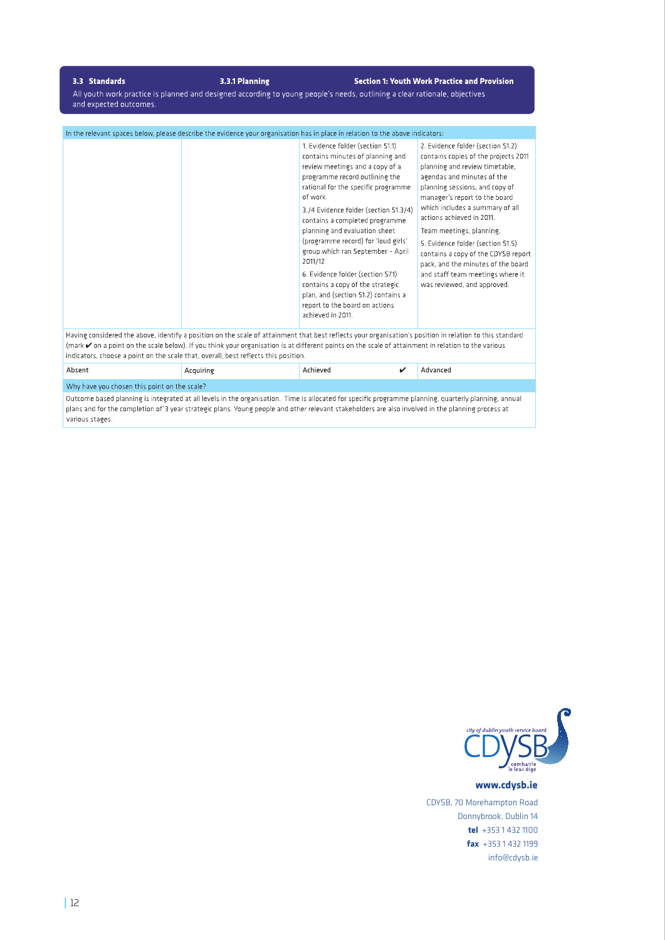### 3.3 Standards

3.3.1 Planning

**Section 1: Youth Work Practice and Provision** 

All youth work practice is planned and designed according to young people's needs, outlining a clear rationale, objectives and expected outcomes.

| In the relevant spaces below, please describe the evidence your organisation has in place in relation to the above indicators: |                                                                                                                                                                                                                                                                                                                                                                                                                                                                                                                                                                         |                                                                                                                                                                                                                                                                                                                                                                                                                                                                                               |  |  |  |  |
|--------------------------------------------------------------------------------------------------------------------------------|-------------------------------------------------------------------------------------------------------------------------------------------------------------------------------------------------------------------------------------------------------------------------------------------------------------------------------------------------------------------------------------------------------------------------------------------------------------------------------------------------------------------------------------------------------------------------|-----------------------------------------------------------------------------------------------------------------------------------------------------------------------------------------------------------------------------------------------------------------------------------------------------------------------------------------------------------------------------------------------------------------------------------------------------------------------------------------------|--|--|--|--|
|                                                                                                                                | 1. Evidence folder (section S1.1)<br>contains minutes of planning and<br>review meetings and a copy of a<br>programme record outlining the<br>rational for the specific programme<br>of work.<br>3./4 Evidence folder (section S1.3/4)<br>contains a completed programme<br>planning and evaluation sheet<br>(programme record) for 'loud girls'<br>group which ran September - April<br>2011/12<br>6. Evidence folder (section S7.1)<br>contains a copy of the strategic<br>plan, and (section S1.2) contains a<br>report to the board on actions<br>achieved in 2011. | 2. Evidence folder (section S1.2)<br>contains copies of the projects 2011<br>planning and review timetable,<br>agendas and minutes of the<br>planning sessions, and copy of<br>manager's report to the board<br>which includes a summary of all<br>actions achieved in 2011.<br>Team meetings, planning,<br>5. Evidence folder (section S1.5)<br>contains a copy of the CDYSB report<br>pack, and the minutes of the board<br>and staff team meetings where it<br>was reviewed, and approved. |  |  |  |  |

Having considered the above, identify a position on the scale of attainment that best reflects your organisation's position in relation to this standard (mark  $\checkmark$  on a point on the scale below). If you think your organisation is at different points on the scale of attainment in relation to the various indicators, choose a point on the scale that, overall, best reflects this position.

| Absent                                                                                                                                                 | Acquiring | Achieved |  | Advanced |  |
|--------------------------------------------------------------------------------------------------------------------------------------------------------|-----------|----------|--|----------|--|
| Why have you chosen this point on the scale?                                                                                                           |           |          |  |          |  |
| Outcome based planning is integrated at all loyals in the exempleation. Time is allocated for creating programme planning, quarterly planning, applied |           |          |  |          |  |

Outcome based planning is integrated at all levels in the organisation. Time is allocated for specific programme planning, quarterly planning, annual plans and for the completion of 3 year strategic plans. Young people and other relevant stakeholders are also involved in the planning process at various stages.



www.cdysb.ie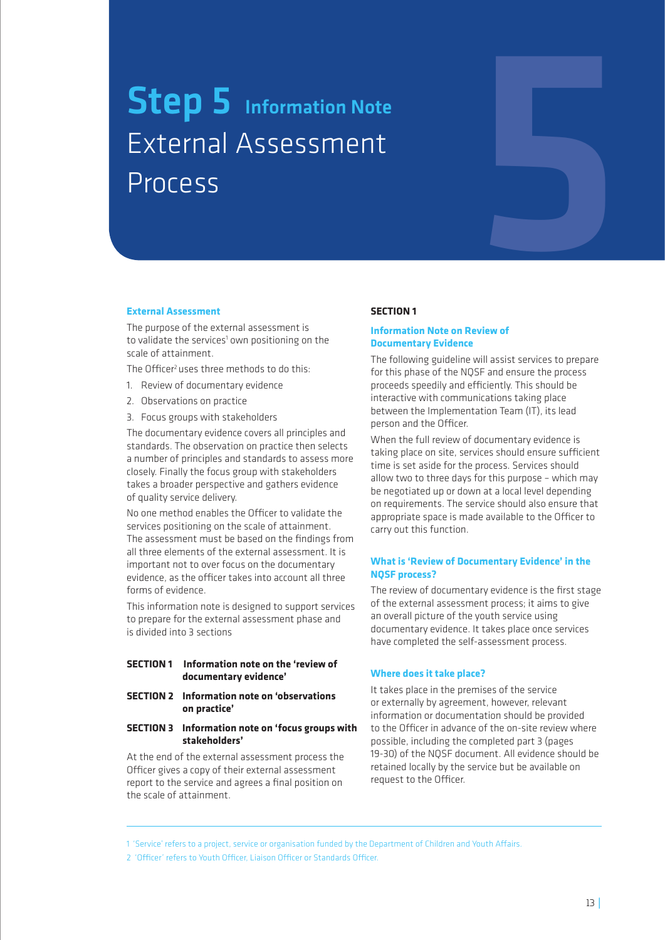# Step 5 Information Note<br>External Assessment<br>Process<br>External Assessment External Assessment Process



### **External Assessment**

The purpose of the external assessment is to validate the services<sup>1</sup> own positioning on the scale of attainment.

The Officer<sup>2</sup> uses three methods to do this:

- 1. Review of documentary evidence
- 2. Observations on practice
- 3. Focus groups with stakeholders

The documentary evidence covers all principles and standards. The observation on practice then selects a number of principles and standards to assess more closely. Finally the focus group with stakeholders takes a broader perspective and gathers evidence of quality service delivery.

No one method enables the Officer to validate the services positioning on the scale of attainment. The assessment must be based on the findings from all three elements of the external assessment. It is important not to over focus on the documentary evidence, as the officer takes into account all three forms of evidence.

This information note is designed to support services to prepare for the external assessment phase and is divided into 3 sections

### **SECTION 1 Information note on the 'review of documentary evidence'**

### **SECTION 2 Information note on 'observations on practice'**

### **SECTION 3 Information note on 'focus groups with stakeholders'**

At the end of the external assessment process the Officer gives a copy of their external assessment report to the service and agrees a final position on the scale of attainment.

### **SECTION 1**

### **Information Note on Review of Documentary Evidence**

The following guideline will assist services to prepare for this phase of the NQSF and ensure the process proceeds speedily and efficiently. This should be interactive with communications taking place between the Implementation Team (IT), its lead person and the Officer.

When the full review of documentary evidence is taking place on site, services should ensure sufficient time is set aside for the process. Services should allow two to three days for this purpose – which may be negotiated up or down at a local level depending on requirements. The service should also ensure that appropriate space is made available to the Officer to carry out this function.

### **What is 'Review of Documentary Evidence' in the NQSF process?**

The review of documentary evidence is the first stage of the external assessment process; it aims to give an overall picture of the youth service using documentary evidence. It takes place once services have completed the self-assessment process.

### **Where does it take place?**

It takes place in the premises of the service or externally by agreement, however, relevant information or documentation should be provided to the Officer in advance of the on-site review where possible, including the completed part 3 (pages 19-30) of the NQSF document. All evidence should be retained locally by the service but be available on request to the Officer.

<sup>1 &#</sup>x27;Service' refers to a project, service or organisation funded by the Department of Children and Youth Affairs.

<sup>2 &#</sup>x27;Officer' refers to Youth Officer, Liaison Officer or Standards Officer.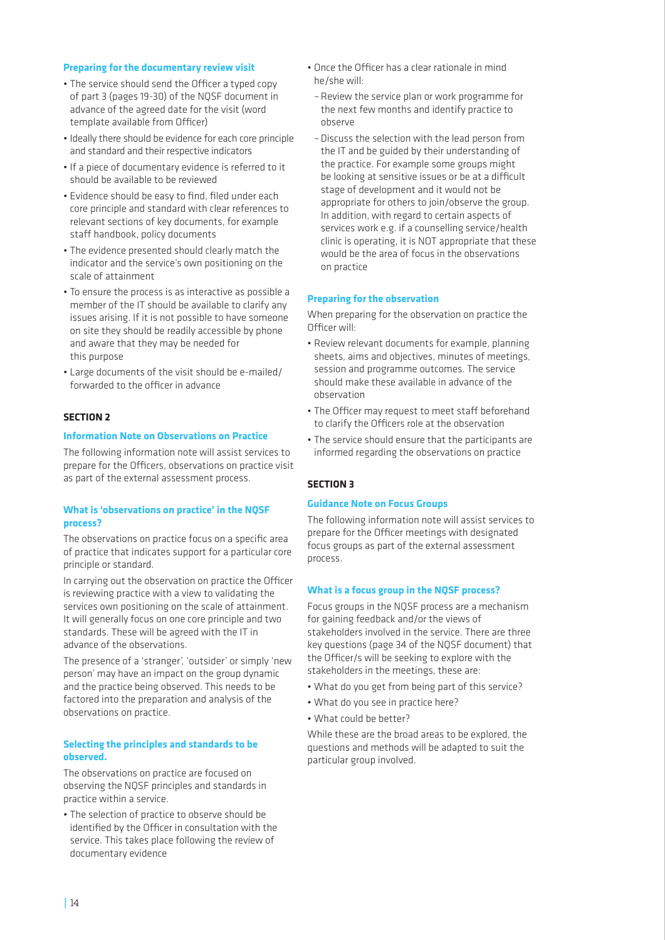### **Preparing for the documentary review visit**

- The service should send the Officer a typed copy of part 3 (pages 19-30) of the NQSF document in advance of the agreed date for the visit (word template available from Officer)
- Ideally there should be evidence for each core principle and standard and their respective indicators
- If a piece of documentary evidence is referred to it should be available to be reviewed
- Evidence should be easy to find, filed under each core principle and standard with clear references to relevant sections of key documents, for example staff handbook, policy documents
- The evidence presented should clearly match the indicator and the service's own positioning on the scale of attainment
- • To ensure the process is as interactive as possible a member of the IT should be available to clarify any issues arising. If it is not possible to have someone on site they should be readily accessible by phone and aware that they may be needed for this purpose
- • Large documents of the visit should be e-mailed/ forwarded to the officer in advance

### **SECTION 2**

### **Information Note on Observations on Practice**

The following information note will assist services to prepare for the Officers, observations on practice visit as part of the external assessment process.

### **What is 'observations on practice' in the NQSF process?**

The observations on practice focus on a specific area of practice that indicates support for a particular core principle or standard.

In carrying out the observation on practice the Officer is reviewing practice with a view to validating the services own positioning on the scale of attainment. It will generally focus on one core principle and two standards. These will be agreed with the IT in advance of the observations.

The presence of a 'stranger', 'outsider' or simply 'new person' may have an impact on the group dynamic and the practice being observed. This needs to be factored into the preparation and analysis of the observations on practice.

### **Selecting the principles and standards to be observed.**

The observations on practice are focused on observing the NQSF principles and standards in practice within a service.

• The selection of practice to observe should be identified by the Officer in consultation with the service. This takes place following the review of documentary evidence

- • Once the Officer has a clear rationale in mind he/she will:
- – Review the service plan or work programme for the next few months and identify practice to observe
- – Discuss the selection with the lead person from the IT and be guided by their understanding of the practice. For example some groups might be looking at sensitive issues or be at a difficult stage of development and it would not be appropriate for others to join/observe the group. In addition, with regard to certain aspects of services work e.g. if a counselling service/health clinic is operating, it is NOT appropriate that these would be the area of focus in the observations on practice

### **Preparing for the observation**

When preparing for the observation on practice the Officer will:

- Review relevant documents for example, planning sheets, aims and objectives, minutes of meetings, session and programme outcomes. The service should make these available in advance of the observation
- The Officer may request to meet staff beforehand to clarify the Officers role at the observation
- The service should ensure that the participants are informed regarding the observations on practice

### **SECTION 3**

### **Guidance Note on Focus Groups**

The following information note will assist services to prepare for the Officer meetings with designated focus groups as part of the external assessment process.

### **What is a focus group in the NQSF process?**

Focus groups in the NQSF process are a mechanism for gaining feedback and/or the views of stakeholders involved in the service. There are three key questions (page 34 of the NQSF document) that the Officer/s will be seeking to explore with the stakeholders in the meetings, these are:

- What do you get from being part of this service?
- What do you see in practice here?
- What could be better?

While these are the broad areas to be explored, the questions and methods will be adapted to suit the particular group involved.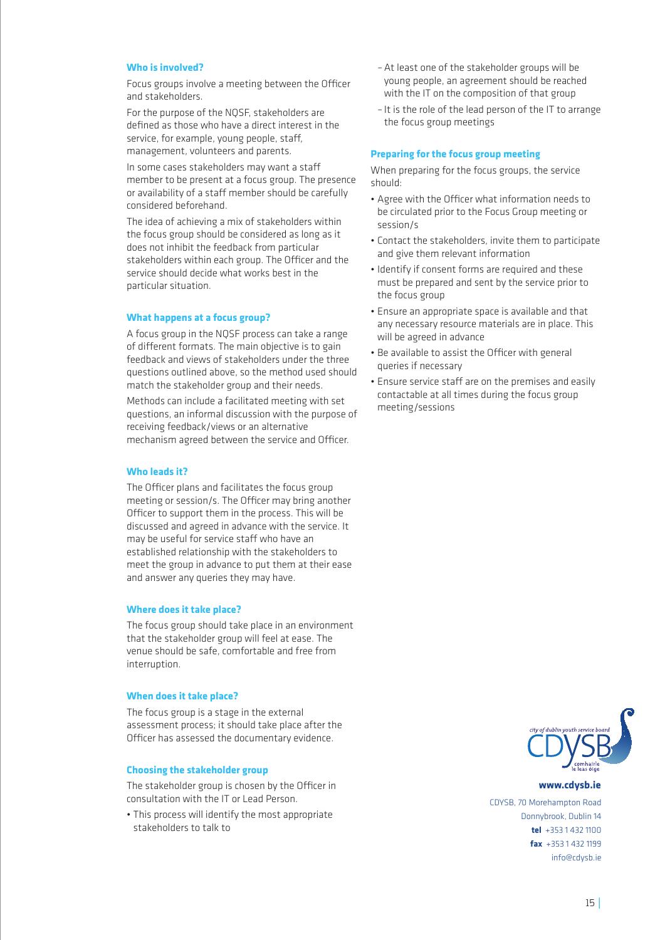### **Who is involved?**

Focus groups involve a meeting between the Officer and stakeholders.

For the purpose of the NQSF, stakeholders are defined as those who have a direct interest in the service, for example, young people, staff, management, volunteers and parents.

In some cases stakeholders may want a staff member to be present at a focus group. The presence or availability of a staff member should be carefully considered beforehand.

The idea of achieving a mix of stakeholders within the focus group should be considered as long as it does not inhibit the feedback from particular stakeholders within each group. The Officer and the service should decide what works best in the particular situation.

### **What happens at a focus group?**

A focus group in the NQSF process can take a range of different formats. The main objective is to gain feedback and views of stakeholders under the three questions outlined above, so the method used should match the stakeholder group and their needs.

Methods can include a facilitated meeting with set questions, an informal discussion with the purpose of receiving feedback/views or an alternative mechanism agreed between the service and Officer.

### **Who leads it?**

The Officer plans and facilitates the focus group meeting or session/s. The Officer may bring another Officer to support them in the process. This will be discussed and agreed in advance with the service. It may be useful for service staff who have an established relationship with the stakeholders to meet the group in advance to put them at their ease and answer any queries they may have.

### **Where does it take place?**

The focus group should take place in an environment that the stakeholder group will feel at ease. The venue should be safe, comfortable and free from interruption.

### **When does it take place?**

The focus group is a stage in the external assessment process; it should take place after the Officer has assessed the documentary evidence.

### **Choosing the stakeholder group**

The stakeholder group is chosen by the Officer in consultation with the IT or Lead Person.

• This process will identify the most appropriate stakeholders to talk to

- At least one of the stakeholder groups will be young people, an agreement should be reached with the IT on the composition of that group
- – It is the role of the lead person of the IT to arrange the focus group meetings

### **Preparing for the focus group meeting**

When preparing for the focus groups, the service should:

- • Agree with the Officer what information needs to be circulated prior to the Focus Group meeting or session/s
- • Contact the stakeholders, invite them to participate and give them relevant information
- Identify if consent forms are required and these must be prepared and sent by the service prior to the focus group
- • Ensure an appropriate space is available and that any necessary resource materials are in place. This will be agreed in advance
- Be available to assist the Officer with general queries if necessary
- Ensure service staff are on the premises and easily contactable at all times during the focus group meeting/sessions



#### www.cdysb.ie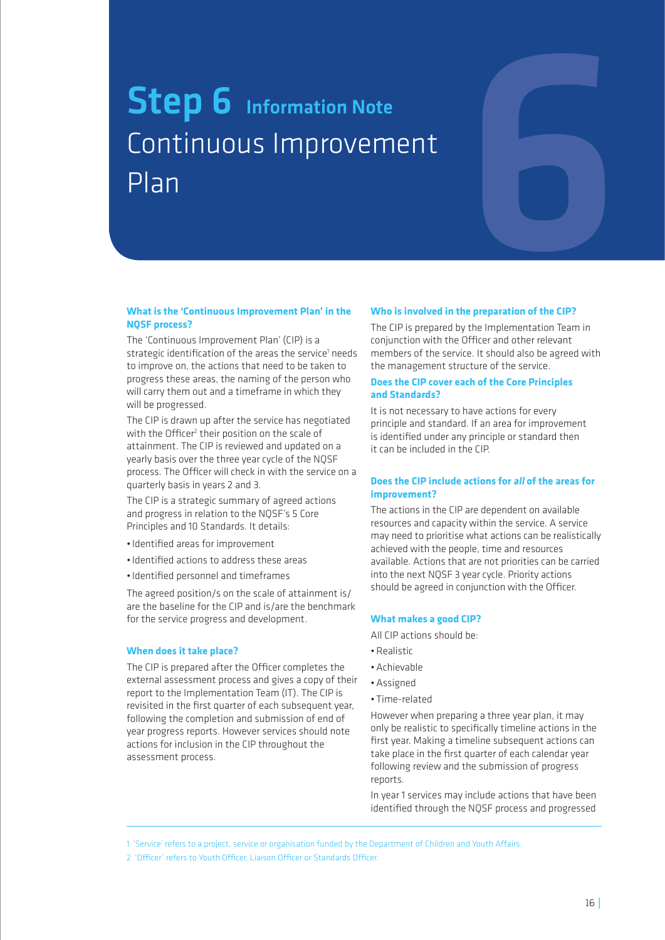# Step 6 Information Note<br>
Continuous Improvement<br>
Plan<br>
What is the 'Continuous Improvement Plan' in the Who is involved in the preparation of the CIP? Continuous Improvement Plan

### **What is the 'Continuous Improvement Plan' in the NQSF process?**

The 'Continuous Improvement Plan' (CIP) is a strategic identification of the areas the service<sup>1</sup> needs to improve on, the actions that need to be taken to progress these areas, the naming of the person who will carry them out and a timeframe in which they will be progressed.

The CIP is drawn up after the service has negotiated with the Officer $^2$  their position on the scale of attainment. The CIP is reviewed and updated on a yearly basis over the three year cycle of the NQSF process. The Officer will check in with the service on a quarterly basis in years 2 and 3.

The CIP is a strategic summary of agreed actions and progress in relation to the NQSF's 5 Core Principles and 10 Standards. It details:

- • Identified areas for improvement
- • Identified actions to address these areas
- • Identified personnel and timeframes

The agreed position/s on the scale of attainment is/ are the baseline for the CIP and is/are the benchmark for the service progress and development.

### **When does it take place?**

The CIP is prepared after the Officer completes the external assessment process and gives a copy of their report to the Implementation Team (IT). The CIP is revisited in the first quarter of each subsequent year. following the completion and submission of end of year progress reports. However services should note actions for inclusion in the CIP throughout the assessment process.

### **Who is involved in the preparation of the CIP?**

The CIP is prepared by the Implementation Team in conjunction with the Officer and other relevant members of the service. It should also be agreed with the management structure of the service.

### **Does the CIP cover each of the Core Principles and Standards?**

It is not necessary to have actions for every principle and standard. If an area for improvement is identified under any principle or standard then it can be included in the CIP.

### **Does the CIP include actions for all of the areas for improvement?**

The actions in the CIP are dependent on available resources and capacity within the service. A service may need to prioritise what actions can be realistically achieved with the people, time and resources available. Actions that are not priorities can be carried into the next NQSF 3 year cycle. Priority actions should be agreed in conjunction with the Officer.

### **What makes a good CIP?**

All CIP actions should be:

- • Realistic
- • Achievable
- • Assigned
- • Time-related

However when preparing a three year plan, it may only be realistic to specifically timeline actions in the first year. Making a timeline subsequent actions can take place in the first quarter of each calendar year following review and the submission of progress reports.

In year 1 services may include actions that have been identified through the NQSF process and progressed

1 'Service' refers to a project, service or organisation funded by the Department of Children and Youth Affairs.

2 'Officer' refers to Youth Officer, Liaison Officer or Standards Officer.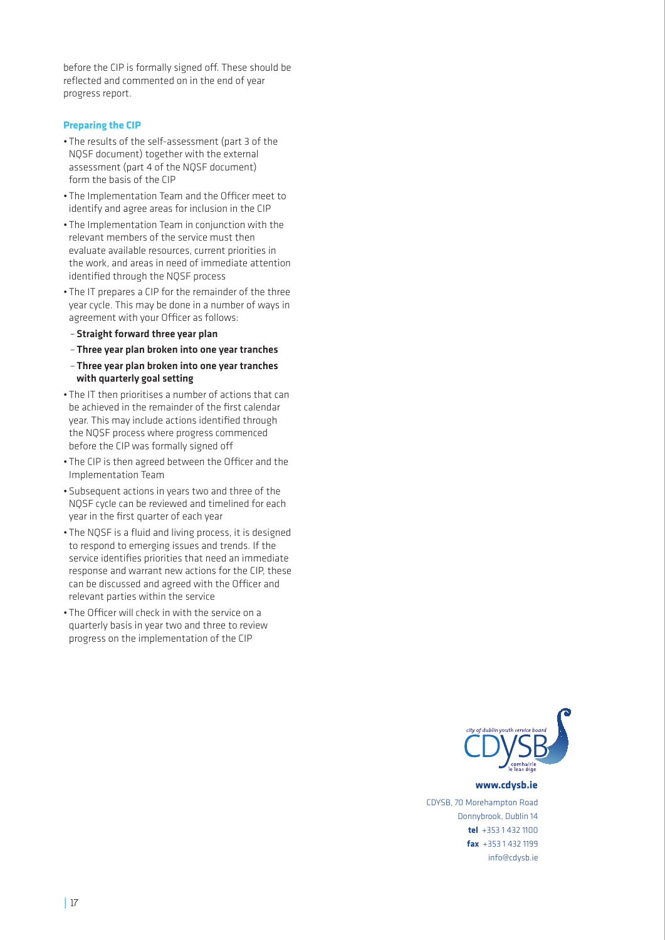before the CIP is formally signed off. These should be reflected and commented on in the end of year progress report.

### **Preparing the CIP**

- The results of the self-assessment (part 3 of the NQSF document) together with the external assessment (part 4 of the NQSF document) form the basis of the CIP
- The Implementation Team and the Officer meet to identify and agree areas for inclusion in the CIP
- The Implementation Team in conjunction with the relevant members of the service must then evaluate available resources, current priorities in the work, and areas in need of immediate attention identified through the NQSF process
- The IT prepares a CIP for the remainder of the three year cycle. This may be done in a number of ways in agreement with your Officer as follows:
- Straight forward three year plan
- – Three year plan broken into one year tranches
- – Three year plan broken into one year tranches with quarterly goal setting
- The IT then prioritises a number of actions that can be achieved in the remainder of the first calendar year. This may include actions identified through the NQSF process where progress commenced before the CIP was formally signed off
- The CIP is then agreed between the Officer and the Implementation Team
- • Subsequent actions in years two and three of the NQSF cycle can be reviewed and timelined for each year in the first quarter of each year
- The NOSF is a fluid and living process, it is designed to respond to emerging issues and trends. If the service identifies priorities that need an immediate response and warrant new actions for the CIP, these can be discussed and agreed with the Officer and relevant parties within the service
- The Officer will check in with the service on a quarterly basis in year two and three to review progress on the implementation of the CIP



www.cdysb.ie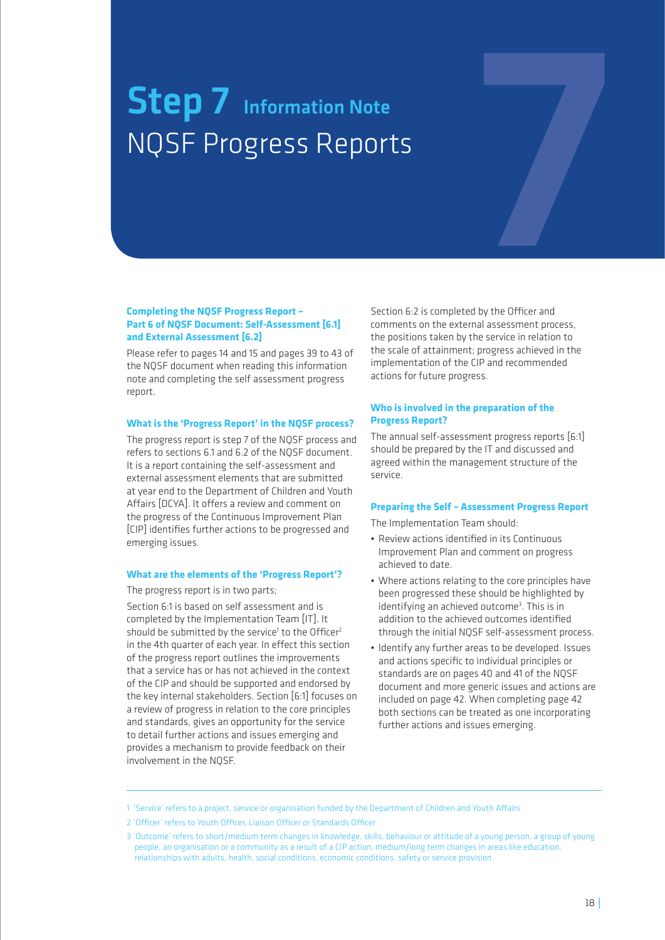# Step 7 Information Note<br>NQSF Progress Reports<br>Explores the Note Report NQSF Progress Reports

### **Completing the NQSF Progress Report – Part 6 of NQSF Document: Self-Assessment [6.1] and External Assessment [6.2]**

Please refer to pages 14 and 15 and pages 39 to 43 of the NQSF document when reading this information note and completing the self assessment progress report.

### **What is the 'Progress Report' in the NQSF process?**

The progress report is step 7 of the NQSF process and refers to sections 6.1 and 6.2 of the NQSF document. It is a report containing the self-assessment and external assessment elements that are submitted at year end to the Department of Children and Youth Affairs [DCYA]. It offers a review and comment on the progress of the Continuous Improvement Plan [CIP] identifies further actions to be progressed and emerging issues.

### **What are the elements of the 'Progress Report'?**

The progress report is in two parts;

Section 6:1 is based on self assessment and is completed by the Implementation Team [IT]. It should be submitted by the service<sup>1</sup> to the Officer<sup>2</sup> in the 4th quarter of each year. In effect this section of the progress report outlines the improvements that a service has or has not achieved in the context of the CIP and should be supported and endorsed by the key internal stakeholders. Section [6:1] focuses on a review of progress in relation to the core principles and standards, gives an opportunity for the service to detail further actions and issues emerging and provides a mechanism to provide feedback on their involvement in the NQSF.

Section 6:2 is completed by the Officer and comments on the external assessment process, the positions taken by the service in relation to the scale of attainment; progress achieved in the implementation of the CIP and recommended actions for future progress.

### **Who is involved in the preparation of the Progress Report?**

The annual self-assessment progress reports [6:1] should be prepared by the IT and discussed and agreed within the management structure of the service.

### **Preparing the Self – Assessment Progress Report**

The Implementation Team should:

- • Review actions identified in its Continuous Improvement Plan and comment on progress achieved to date.
- • Where actions relating to the core principles have been progressed these should be highlighted by identifying an achieved outcome<sup>3</sup>. This is in addition to the achieved outcomes identified through the initial NQSF self-assessment process.
- Identify any further areas to be developed. Issues and actions specific to individual principles or standards are on pages 40 and 41 of the NQSF document and more generic issues and actions are included on page 42. When completing page 42 both sections can be treated as one incorporating further actions and issues emerging.

<sup>1 &#</sup>x27;Service' refers to a project, service or organisation funded by the Department of Children and Youth Affairs

<sup>2 &#</sup>x27;Officer' refers to Youth Officer, Liaison Officer or Standards Officer

<sup>3 &#</sup>x27;Outcome' refers to short/medium term changes in knowledge, skills, behaviour or attitude of a young person, a group of young people, an organisation or a community as a result of a CIP action, medium/long term changes in areas like education, relationships with adults, health, social conditions, economic conditions, safety or service provision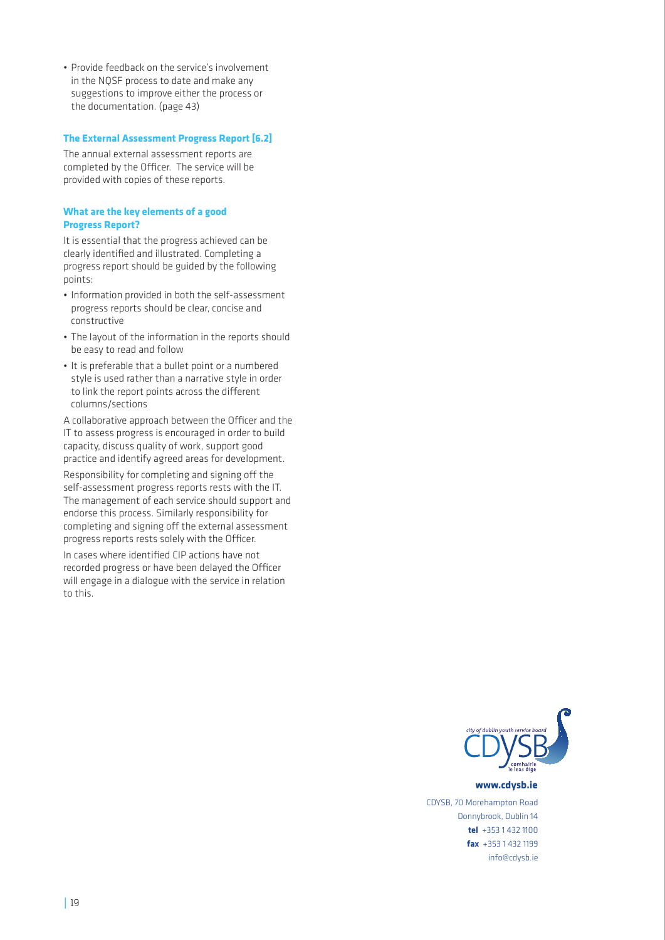• Provide feedback on the service's involvement in the NQSF process to date and make any suggestions to improve either the process or the documentation. (page 43)

### **The External Assessment Progress Report [6.2]**

The annual external assessment reports are completed by the Officer. The service will be provided with copies of these reports.

### **What are the key elements of a good Progress Report?**

It is essential that the progress achieved can be clearly identified and illustrated. Completing a progress report should be guided by the following points:

- Information provided in both the self-assessment progress reports should be clear, concise and constructive
- The layout of the information in the reports should be easy to read and follow
- It is preferable that a bullet point or a numbered style is used rather than a narrative style in order to link the report points across the different columns/sections

A collaborative approach between the Officer and the IT to assess progress is encouraged in order to build capacity, discuss quality of work, support good practice and identify agreed areas for development.

Responsibility for completing and signing off the self-assessment progress reports rests with the IT. The management of each service should support and endorse this process. Similarly responsibility for completing and signing off the external assessment progress reports rests solely with the Officer.

In cases where identified CIP actions have not recorded progress or have been delayed the Officer will engage in a dialogue with the service in relation to this.



www.cdysb.ie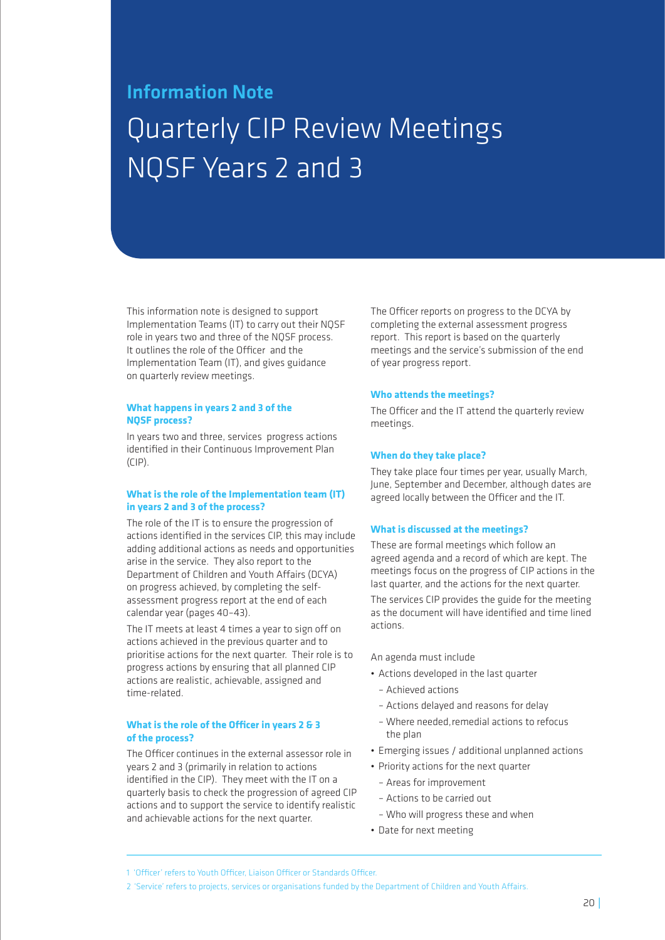### Information Note Quarterly CIP Review Meetings NQSF Years 2 and 3

This information note is designed to support Implementation Teams (IT) to carry out their NQSF role in years two and three of the NQSF process. It outlines the role of the Officer and the Implementation Team (IT), and gives guidance on quarterly review meetings.

### **What happens in years 2 and 3 of the NQSF process?**

In years two and three, services progress actions identified in their Continuous Improvement Plan  $(\Gamma|P)$ .

### **What is the role of the Implementation team (IT) in years 2 and 3 of the process?**

The role of the IT is to ensure the progression of actions identified in the services CIP, this may include adding additional actions as needs and opportunities arise in the service. They also report to the Department of Children and Youth Affairs (DCYA) on progress achieved, by completing the selfassessment progress report at the end of each calendar year (pages 40–43).

The IT meets at least 4 times a year to sign off on actions achieved in the previous quarter and to prioritise actions for the next quarter. Their role is to progress actions by ensuring that all planned CIP actions are realistic, achievable, assigned and time-related.

### **What is the role of the Officer in years 2 & 3 of the process?**

The Officer continues in the external assessor role in years 2 and 3 (primarily in relation to actions identified in the CIP). They meet with the IT on a quarterly basis to check the progression of agreed CIP actions and to support the service to identify realistic and achievable actions for the next quarter.

The Officer reports on progress to the DCYA by completing the external assessment progress report. This report is based on the quarterly meetings and the service's submission of the end of year progress report.

### **Who attends the meetings?**

The Officer and the IT attend the quarterly review meetings.

### **When do they take place?**

They take place four times per year, usually March, June, September and December, although dates are agreed locally between the Officer and the IT.

### **What is discussed at the meetings?**

These are formal meetings which follow an agreed agenda and a record of which are kept. The meetings focus on the progress of CIP actions in the last quarter, and the actions for the next quarter.

The services CIP provides the guide for the meeting as the document will have identified and time lined actions.

### An agenda must include

- • Actions developed in the last quarter
	- Achieved actions
	- Actions delayed and reasons for delay
	- Where needed,remedial actions to refocus the plan
- Emerging issues / additional unplanned actions
- Priority actions for the next quarter
- Areas for improvement
- Actions to be carried out
- Who will progress these and when
- Date for next meeting

<sup>1 &#</sup>x27;Officer' refers to Youth Officer, Liaison Officer or Standards Officer.

<sup>2 &#</sup>x27;Service' refers to projects, services or organisations funded by the Department of Children and Youth Affairs.